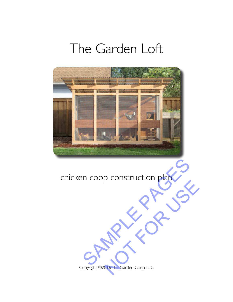# The Garden Loft



chicken coop construction plan SAMPLE PAGES

Copyright ©2016 The Garden Coop LLC Notice Coop LIC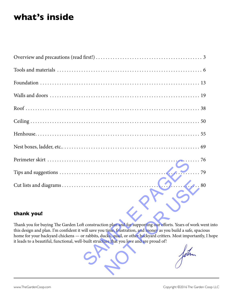# **what's inside**

| 79                                                                                                                                                                                                                                                                                                                                                                                                                                      |
|-----------------------------------------------------------------------------------------------------------------------------------------------------------------------------------------------------------------------------------------------------------------------------------------------------------------------------------------------------------------------------------------------------------------------------------------|
| $\frac{1}{2}$ . 80                                                                                                                                                                                                                                                                                                                                                                                                                      |
| thank you!                                                                                                                                                                                                                                                                                                                                                                                                                              |
| Thank you for buying The Garden Loft construction plan and for supporting our efforts. Years of work went<br>this design and plan. I'm confident it will save you time, frustration, and money as you build a safe, spaciou<br>home for your backyard chickens - or rabbits, ducks, quail, or other backyard critters. Most importantly, I<br>it leads to a beautiful, functional, well-built structure that you love and are proud of! |

#### **thank you!**

Thank you for buying The Garden Loft construction plan and for supporting our efforts. Years of work went into this design and plan. I'm confident it will save you time, frustration, and money as you build a safe, spacious home for your backyard chickens — or rabbits, ducks, quail, or other backyard critters. Most importantly, I hope it leads to a beautiful, functional, well-built structure that you love and are proud of!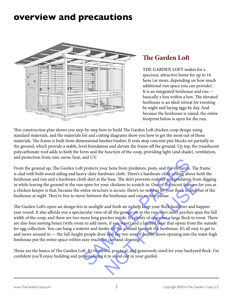# <span id="page-2-0"></span>**overview and precautions**



### **The Garden Loft**

THE GARDEN LOFT makes for a spacious, attractive home for up to 16 hens (or more, depending on how much additional run space you can provide). It is an integrated henhouse and run basically a box within a box. The elevated henhouse is an ideal retreat for roosting by night and laying eggs by day. And because the henhouse is raised, the entire footprint below is open for the run.

This construction plan shows you step-by-step how to build The Garden Loft chicken coop design using standard materials, and the materials list and cutting diagrams show you how to get the most out of those materials. The frame is built from dimensional lumber/timber. It rests atop concrete pier blocks set partially in the ground, which provide a stable, level foundation and elevate the frame off the ground. Up top, the translucent polycarbonate roof adds to both the form and the function of the coop, providing light (and shade), ventilation, and protection from rain, snow, heat, and UV.

From the ground up, The Garden Loft protects your hens from predators, pests, and the elements. The frame is clad with both wood siding and heavy-duty hardware cloth. There's a hardware cloth ceiling above both the henhouse and run and a hardware cloth skirt at the base. The skirt prevents rodents and predators from digging in while leaving the ground in the run open for your chickens to scratch in. One of the nicest features for you as a chicken keeper is that, because the entire structure is secure, there's no need to let your flock in and out of the henhouse at night. They're free to move between the henhouse and run as they please.

The Garden Loft's open-air design lets in sunlight and fresh air to help keep your flock healthier and happier year round. It also affords you a spectacular view of all the goings-on in the run. Two outer perches span the full width of the coop, and there are two more long perches inside. It's plenty of space for a large flock to roost. There are also four nesting boxes (with room to add more, if you want) and a latched door that opens from the outside for egg collection. You can hang a waterer and feeder off the ground beneath the henhouse. It's all easy to get to and move around in — the full-height people door and the two sets of double doors opening into the waist-high henhouse put the entire space within easy reach for care and cleaning. and 0 v.<br>
It protects your hens from predators, pests, and the elements. They-duty hardware cloth. There's a hardware cloth ceiling above<br>
th skirt at the base. The skirt prevents rodents and predators from<br>
10 open for yo For the base. The skill prevents follows and predators from the base. The skill prevents follows and predators from the unit of the microstrical fraction and fresh air to help keep your flock healthier and happ of all the

Those are the basics of The Garden Loft. It's beautiful, practical, and generously sized for your backyard flock. I'm confident you'll enjoy building and personalizing it to stand out in your garden.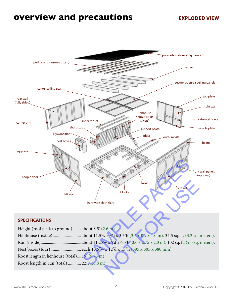# **overview and precautions**

#### **EXPLODED VIEW**

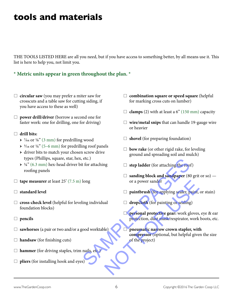### <span id="page-4-0"></span>**tools and materials**

THE TOOLS LISTED HERE are all you need, but if you have access to something better, by all means use it. This list is here to help you, not limit you.

#### **\* Metric units appear in green throughout the plan. \***

- $\Box$  **circular saw** (you may prefer a miter saw for crosscuts and a table saw for cutting siding, if you have access to these as well)
- □ **power drill/driver** (borrow a second one for faster work: one for drilling, one for driving)

#### $\Box$  drill bits:

- $\rightarrow$   $\frac{7}{64}$  or  $\frac{1}{8}$ " (3 mm) for predrilling wood
- $\rightarrow$  3/16 or 1/4" (5–6 mm) for predrilling roof panels
- → driver bits to match your chosen screw drive types (Phillips, square, star, hex, etc.)
- $\rightarrow$  1/4" (6.3 mm) hex-head driver bit for attaching roofing panels
- $\Box$  **tape measurer** at least 25' (7.5 m) long
- $\Box$  standard level
- $\Box$  **cross-check level** (helpful for leveling individual foundation blocks)
- □ pencils
- $\Box$  sawhorses (a pair or two and/or a good worktable)
- $\Box$  **handsaw** (for finishing cuts)
- $\Box$  **hammer** (for driving staples, trim nails, etc.
- $\Box$  **pliers** (for installing hook and eyes)
- □ combination square or speed square (helpful for marking cross cuts on lumber)
- $\Box$  **clamps** (2) with at least a 6" (150 mm) capacity
- $\Box$  wire/metal snips that can handle 19-gauge wire or heavier
- $\Box$  **shovel** (for preparing foundation)
- $\Box$  **bow rake** (or other rigid rake, for leveling ground and spreading soil and mulch)
- $\Box$  **step ladder** (for attaching the roof)
- $\Box$  sanding block and sandpaper (80 grit or so) or a power sander
- $\Box$  **paintbrush** (for applying sealer, paint, or stain)
- $\Box$  **dropcloth** (for painting or sealing)
- **personal protective gear:** work gloves, eye & ear protection, dust mask/respirator, work boots, etc.
- **pneumatic narrow crown stapler, with compressor** (optional, but helpful given the size of the project) etc.)<br>
for attaching<br>  $\Box$  step ladder (for attaching the roof)<br>  $\Box$  sanding block and sandpaper (80 gr<br>
or a power sander<br>  $\Box$  paintbrush (for applying sealer, pain<br>
ling individual<br>  $\Box$  dropcloth (for painting or seal or a power sander<br>
□ paintbrush (for applying sealer, paint, or<br>
<br>
□ dropcloth (for painting or sealing)<br>
□ personal protective gear: work gloves, ey<br>
pretection, dust mask/respirator, work be<br>
be<br>
preumatic narrow crown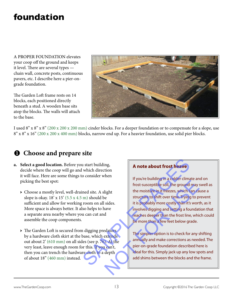# **foundation**

A PROPER FOUNDATION elevates your coop off the ground and keeps it level. There are several types chain wall, concrete posts, continuous pavers, etc. I describe here a pier-ongrade foundation.

The Garden Loft frame rests on 14 blocks, each positioned directly beneath a stud. A wooden base sits atop the blocks. The walls will attach to the base.



I used 8" x 8" x 8" (200 x 200 x 200 mm) cinder blocks. For a deeper foundation or to compensate for a slope, use 8" x 8" x 16" (200 x 200 x 400 mm) blocks, narrow end up. For a heavier foundation, use solid pier blocks.

### **Q** Choose and prepare site

- **a. Select a good location.** Before you start building, decide where the coop will go and which direction it will face. Here are some things to consider when picking the best spot:
	- → Choose a mostly level, well-drained site. A slight slope is okay.  $18' \times 15'$  (5.5  $\times$  4.5 m) should be sufficient and allow for working room on all sides. More space is always better. It also helps to have a separate area nearby where you can cut and assemble the coop components.
	- → The Garden Loft is secured from digging predators by a hardware cloth skirt at the base, which extends out about 2' (610 mm) on all sides (see p. 76). At the very least, leave enough room for this. If you can't, then you can trench the hardware cloth to a depth of about 18" (460 mm) instead.

#### **A note about frost heave**

If you're building in a colder climate and on frost-susceptible soil, the ground may swell as the moisture in it freezes, which can cause a structure to shift over time. Trying to prevent it is probably more costly than it's worth, as it involves digging and setting a foundation that reaches deeper than the frost line, which could be more than a few feet below grade. a start building,<br>
a start building,<br>
o consider when<br>
If you're building in a colder climate<br>
if you're building in a colder climate<br>
frost-susceptible soil, the ground ma<br>
m) should be<br>
structure to shift over time. Tryi Frost-susceptible soil, the ground may switch the moisture in it freezes, which can cause structure to shift over time. Trying to previous structure to shift over time. Trying to previous it is probably more costly than it

The simpler option is to check for any shifting annually and make corrections as needed. The pier-on-grade foundation described here is ideal for this. Simply jack up any low spots and add shims between the blocks and the frame.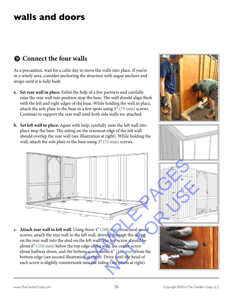### **walls and doors**

### $\Omega$  Connect the four walls

As a precaution, wait for a calm day to move the walls into place. If you're in a windy area, consider anchoring the structure with augur anchors and straps until it is fully built.

- **a. Set rear wall in place.** Enlist the help of a few partners and carefully raise the rear wall into position atop the base. The wall should align flush with the left and right edges of the base. While holding the wall in place, attach the sole plate to the base in a few spots using 3" (75 mm) screws. Continue to support the rear wall until both side walls are attached.
- **b. Set left wall in place.** Again with help, carefully raise the left wall into place atop the base. The siding on the rearmost edge of the left wall should overlap the rear wall (see illustration at right). While holding the wall, attach the sole plate to the base using  $3''$  (75 mm) screws.



**c. Attach rear wall to left wall.** Using three 4" (100 mm) structural wood screws, attach the rear wall to the left wall, driving through the siding on the rear wall into the stud on the left wall. The top screw should be about 6" (150 mm) below the top edge of the wall, the center screw about halfway down, and the bottom screw about 6" (150 mm) from the bottom edge (see second illustration at right). Drive until the head of each screw is slightly countersunk into the siding (see photo at right).







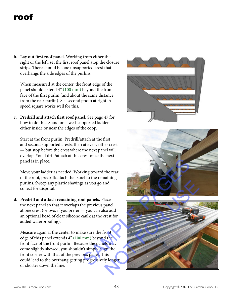# **roof**

**b. Lay out first roof panel.** Working from either the right or the left, set the first roof panel atop the closure strips. There should be one unsupported crest that overhangs the side edges of the purlins.

When measured at the center, the front edge of the panel should extend 4" (100 mm) beyond the front face of the first purlin (and about the same distance from the rear purlin). See second photo at right. A speed square works well for this.

**c. Predrill and attach first roof panel.** See page 47 for how to do this. Stand on a well-supported ladder either inside or near the edges of the coop.

Start at the front purlin. Predrill/attach at the first and second supported crests, then at every other crest — but stop before the crest where the next panel will overlap. You'll drill/attach at this crest once the next panel is in place.

Move your ladder as needed. Working toward the rear of the roof, predrill/attach the panel to the remaining purlins. Sweep any plastic shavings as you go and collect for disposal.

**d. Predrill and attach remaining roof panels.** Place the next panel so that it overlaps the previous panel at one crest (or two, if you prefer — you can also add an optional bead of clear silicone caulk at the crest for added waterproofing).

Measure again at the center to make sure the front edge of this panel extends 4" (100 mm) beyond the front face of the front purlin. Because the panels may come slightly skewed, you shouldn't simply align the front corner with that of the previous panel. This could lead to the overhang getting progressively longer or shorter down the line.





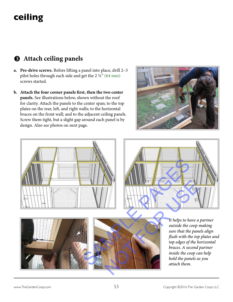# **ceiling**

### $\Theta$  Attach ceiling panels

- **a. Pre-drive screws.** Before lifting a panel into place, drill 2–3 pilot holes through each side and get the 2 ½" (64 mm) screws started.
- **b. Attach the four corner panels first, then the two center panels.** See illustrations below, shown without the roof for clarity. Attach the panels to the center span; to the top plates on the rear, left, and right walls; to the horizontal braces on the front wall; and to the adjacent ceiling panels. Screw them tight, but a slight gap around each panel is by design. Also see photos on next page.











*It helps to have a partner outside the coop making sure that the panels align flush with the top plates and top edges of the horizontal braces. A second partner inside the coop can help hold the panels as you attach them.*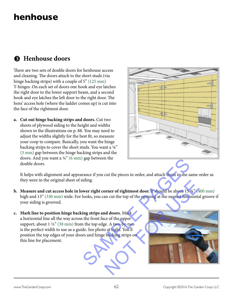# **henhouse**

### $\Theta$  Henhouse doors

There are two sets of double doors for henhouse access and cleaning. The doors attach to the short studs (via hinge backing strips) with a couple of 5" (125 mm) T-hinges. On each set of doors one hook and eye latches the right door to the lower support beam, and a second hook and eye latches the left door to the right door. The hens' access hole (where the ladder comes up) is cut into the face of the rightmost door.

**a. Cut out hinge backing strips and doors.** Cut two sheets of plywood siding to the height and widths shown in the illustrations on p. 88. You may need to adjust the widths slightly for the best fit, so measure your coop to compare. Basically, you want the hinge backing strips to cover the short studs. You want a  $\frac{1}{8}$ " (3 mm) gap between the hinge backing strips and the doors. And you want a  $\frac{1}{4}$ " (6 mm) gap between the double doors.



It helps with alignment and appearance if you cut the pieces in order, and attach them in the same order as they were in the original sheet of siding.

- **b.** Measure and cut access hole in lower right corner of rightmost door. It should be about 15  $\frac{3}{4}$  (400 mm) high and 13" (330 mm) wide. For looks, you can cut the top of the opening at the nearest horizontal groove if your siding is grooved.
- **c. Mark line to position hinge backing strips and doors.** Mark a horizontal line all the way across the front face of the upper support, about  $1\frac{1}{2}$ " (38 mm) from the top edge. A two-by-two is the perfect width to use as a guide. See photo at right. You'll position the top edges of your doors and hinge backing strips on this line for placement.